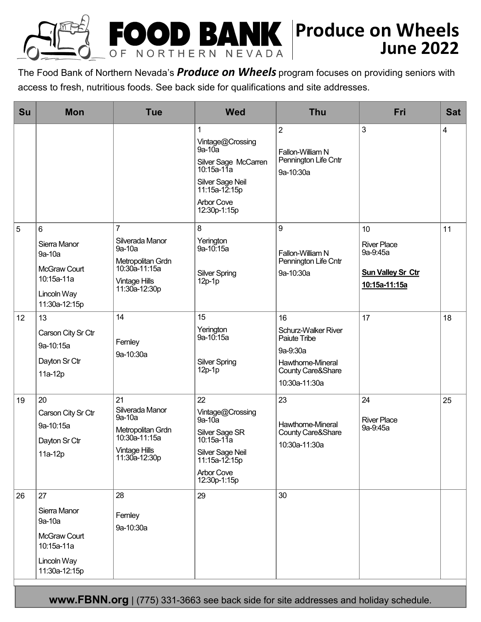

The Food Bank of Northern Nevada's *Produce on Wheels* program focuses on providing seniors with access to fresh, nutritious foods. See back side for qualifications and site addresses.

| Su | <b>Mon</b>                                                                                 | <b>Tue</b>                                                                                                                 | <b>Wed</b>                                                                                                                                   | <b>Thu</b>                                                                                                       | Fri                                                                               | <b>Sat</b> |
|----|--------------------------------------------------------------------------------------------|----------------------------------------------------------------------------------------------------------------------------|----------------------------------------------------------------------------------------------------------------------------------------------|------------------------------------------------------------------------------------------------------------------|-----------------------------------------------------------------------------------|------------|
|    |                                                                                            |                                                                                                                            | Vintage@Crossing<br>$9a-10a$<br>Silver Sage McCarren<br>10:15a-11a<br>Silver Sage Neil<br>11:15a-12:15p<br><b>Arbor Cove</b><br>12:30p-1:15p | $\overline{2}$<br>Fallon-William N<br>Pennington Life Cntr<br>9a-10:30a                                          | $\mathbf{3}$                                                                      | 4          |
| 5  | 6<br>Sierra Manor<br>9a-10a<br>McGraw Court<br>10:15a-11a<br>Lincoln Way<br>11:30a-12:15p  | $\overline{7}$<br>Silverada Manor<br>9a-10a<br>Metropolitan Grdn<br>10:30a-11:15a<br><b>Vintage Hills</b><br>11:30a-12:30p | 8<br>Yerington<br>9a-10:15a<br><b>Silver Spring</b><br>$12p-1p$                                                                              | 9<br>Fallon-William N<br>Pennington Life Cntr<br>9a-10:30a                                                       | 10<br><b>River Place</b><br>9a-9:45a<br><b>Sun Valley Sr Ctr</b><br>10:15a-11:15a | 11         |
| 12 | 13<br>Carson City Sr Ctr<br>9a-10:15a<br>Dayton Sr Ctr<br>11a-12p                          | 14<br>Fernley<br>9a-10:30a                                                                                                 | 15<br>Yerington<br>9a-10:15a<br><b>Silver Spring</b><br>$12p-1p$                                                                             | 16<br>Schurz-Walker River<br>Paiute Tribe<br>9a-9:30a<br>Hawthorne-Mineral<br>County Care&Share<br>10:30a-11:30a | 17                                                                                | 18         |
| 19 | 20<br>Carson City Sr Ctr<br>9a-10:15a<br>Dayton Sr Ctr<br>11a-12p                          | 21<br>Silverada Manor<br>9a-10a<br>Metropolitan Grdn<br>10:30a-11:15a<br><b>Vintage Hills</b><br>11:30a-12:30p             | 22<br>Vintage@Crossing<br>9a-10a<br>Silver Sage SR<br>10:15a-11a<br>Silver Sage Neil<br>11:15a-12:15p<br><b>Arbor Cove</b><br>12:30p-1:15p   | 23<br>Hawthorne-Mineral<br>County Care&Share<br>10:30a-11:30a                                                    | 24<br><b>River Place</b><br>9a-9:45a                                              | 25         |
| 26 | 27<br>Sierra Manor<br>9a-10a<br>McGraw Court<br>10:15a-11a<br>Lincoln Way<br>11:30a-12:15p | 28<br>Fernley<br>9a-10:30a                                                                                                 | 29                                                                                                                                           | 30                                                                                                               |                                                                                   |            |

**www.FBNN.org** | (775) 331-3663 see back side for site addresses and holiday schedule.